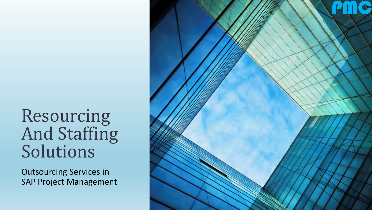# Resourcing And Staffing Solutions

Outsourcing Services in SAP Project Management

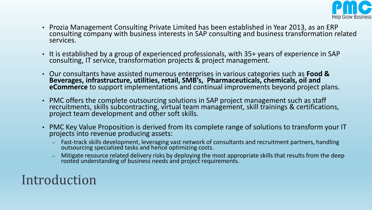

- Prozia Management Consulting Private Limited has been established in Year 2013, as an ERP consulting company with business interests in SAP consulting and business transformation related services.
- It is established by a group of experienced professionals, with 35+ years of experience in SAP consulting, IT service, transformation projects & project management.
- Our consultants have assisted numerous enterprises in various categories such as **Food & Beverages, infrastructure, utilities, retail, SMB's, Pharmaceuticals, chemicals, oil and eCommerce** to support implementations and continual improvements beyond project plans.
- PMC offers the complete outsourcing solutions in SAP project management such as staff recruitments, skills subcontracting, virtual team management, skill trainings & certifications, project team development and other soft skills.
- PMC Key Value Proposition is derived from its complete range of solutions to transform your IT projects into revenue producing assets:
	- Fast-track skills development, leveraging vast network of consultants and recruitment partners, handling outsourcing specialized tasks and hence optimizing costs.
	- Mitigate resource related delivery risks by deploying the most appropriate skills that results from the deep rooted understanding of business needs and project requirements.

#### Introduction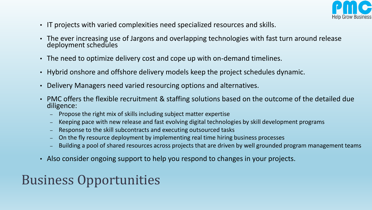

- IT projects with varied complexities need specialized resources and skills.
- The ever increasing use of Jargons and overlapping technologies with fast turn around release deployment schedules
- The need to optimize delivery cost and cope up with on-demand timelines.
- Hybrid onshore and offshore delivery models keep the project schedules dynamic.
- Delivery Managers need varied resourcing options and alternatives.
- PMC offers the flexible recruitment & staffing solutions based on the outcome of the detailed due diligence:
	- Propose the right mix of skills including subject matter expertise
	- Keeping pace with new release and fast evolving digital technologies by skill development programs
	- Response to the skill subcontracts and executing outsourced tasks
	- On the fly resource deployment by implementing real time hiring business processes
	- Building a pool of shared resources across projects that are driven by well grounded program management teams
- Also consider ongoing support to help you respond to changes in your projects.

## Business Opportunities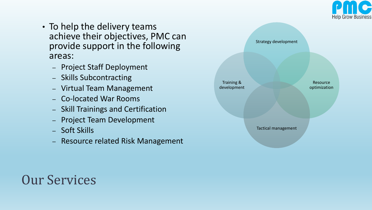

- To help the delivery teams achieve their objectives, PMC can provide support in the following areas:
	- Project Staff Deployment
	- Skills Subcontracting
	- Virtual Team Management
	- Co-located War Rooms
	- Skill Trainings and Certification
	- Project Team Development
	- Soft Skills
	- Resource related Risk Management



#### Our Services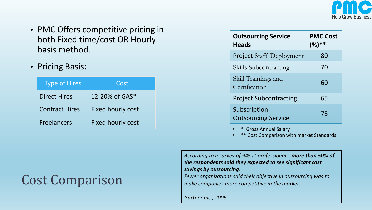

- PMC Offers competitive pricing in both Fixed time/cost OR Hourly basis method.
- Pricing Basis:

| <b>Type of Hires</b>  | Cost                     |
|-----------------------|--------------------------|
| <b>Direct Hires</b>   | 12-20% of $GAS^*$        |
| <b>Contract Hires</b> | <b>Fixed hourly cost</b> |
| <b>Freelancers</b>    | Fixed hourly cost        |

| <b>Outsourcing Service</b><br><b>Heads</b> | <b>PMC Cost</b><br>$(%)**$ |
|--------------------------------------------|----------------------------|
| <b>Project Staff Deployment</b>            | 80                         |
| Skills Subcontracting                      | 70                         |
| Skill Trainings and<br>Certification       | 60                         |
| <b>Project Subcontracting</b>              | 65                         |
| Subscription<br><b>Outsourcing Service</b> | 75                         |

• \* Gross Annual Salary

<sup>•</sup> Cost Comparison with market Standards

*According to a survey of 945 IT professionals, more than 50% of the respondents said they expected to see significant cost savings by outsourcing.* 

*Fewer organizations said their objective in outsourcing was to make companies more competitive in the market.* 

*Gartner Inc., 2006* 

#### Cost Comparison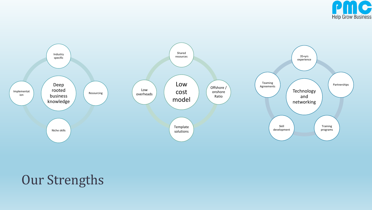



### Our Strengths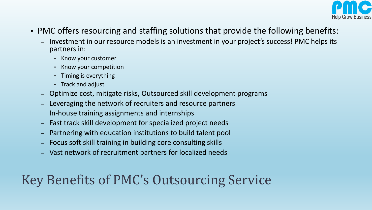

- PMC offers resourcing and staffing solutions that provide the following benefits:
	- Investment in our resource models is an investment in your project's success! PMC helps its partners in:
		- Know your customer
		- Know your competition
		- Timing is everything
		- Track and adjust
	- Optimize cost, mitigate risks, Outsourced skill development programs
	- Leveraging the network of recruiters and resource partners
	- In-house training assignments and internships
	- Fast track skill development for specialized project needs
	- Partnering with education institutions to build talent pool
	- Focus soft skill training in building core consulting skills
	- Vast network of recruitment partners for localized needs

## Key Benefits of PMC's Outsourcing Service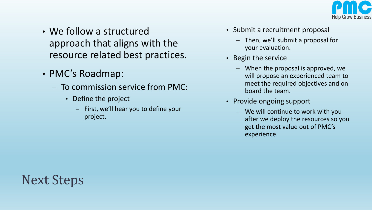

- We follow a structured approach that aligns with the resource related best practices.
- PMC's Roadmap:
	- To commission service from PMC:
		- Define the project
			- First, we'll hear you to define your project.
- Submit a recruitment proposal
	- Then, we'll submit a proposal for your evaluation.
- Begin the service
	- When the proposal is approved, we will propose an experienced team to meet the required objectives and on board the team.
- Provide ongoing support
	- We will continue to work with you after we deploy the resources so you get the most value out of PMC's experience.

## Next Steps